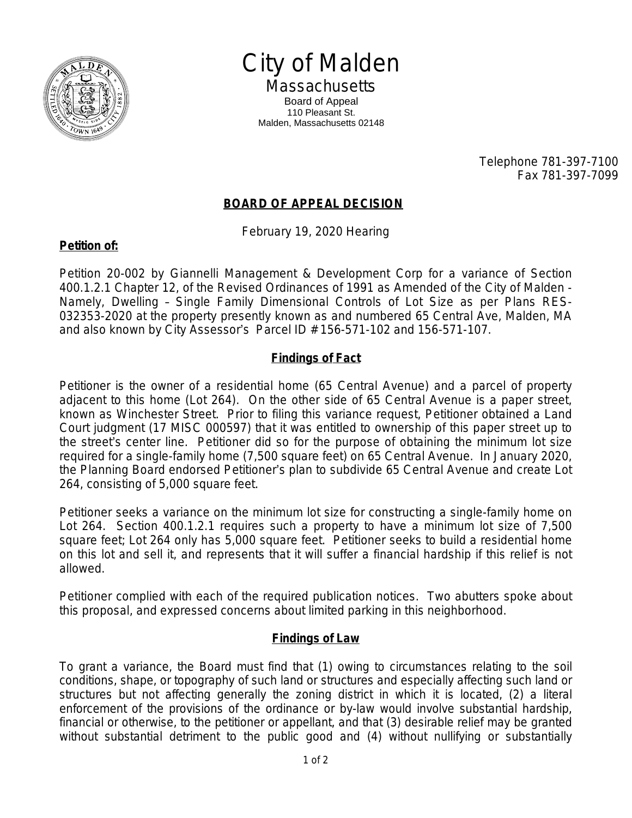

City of Malden **Massachusetts** 

Board of Appeal 110 Pleasant St. Malden, Massachusetts 02148

> Telephone 781-397-7100 Fax 781-397-7099

## **BOARD OF APPEAL DECISION**

February 19, 2020 Hearing

## **Petition of:**

Petition 20-002 by Giannelli Management & Development Corp for a variance of Section 400.1.2.1 Chapter 12, of the Revised Ordinances of 1991 as Amended of the City of Malden - Namely, Dwelling – Single Family Dimensional Controls of Lot Size as per Plans RES-032353-2020 at the property presently known as and numbered 65 Central Ave, Malden, MA and also known by City Assessor's Parcel ID # 156-571-102 and 156-571-107.

## **Findings of Fact**

Petitioner is the owner of a residential home (65 Central Avenue) and a parcel of property adjacent to this home (Lot 264). On the other side of 65 Central Avenue is a paper street, known as Winchester Street. Prior to filing this variance request, Petitioner obtained a Land Court judgment (17 MISC 000597) that it was entitled to ownership of this paper street up to the street's center line. Petitioner did so for the purpose of obtaining the minimum lot size required for a single-family home (7,500 square feet) on 65 Central Avenue. In January 2020, the Planning Board endorsed Petitioner's plan to subdivide 65 Central Avenue and create Lot 264, consisting of 5,000 square feet.

Petitioner seeks a variance on the minimum lot size for constructing a single-family home on Lot 264. Section 400.1.2.1 requires such a property to have a minimum lot size of 7,500 square feet; Lot 264 only has 5,000 square feet. Petitioner seeks to build a residential home on this lot and sell it, and represents that it will suffer a financial hardship if this relief is not allowed.

Petitioner complied with each of the required publication notices. Two abutters spoke about this proposal, and expressed concerns about limited parking in this neighborhood.

## **Findings of Law**

To grant a variance, the Board must find that (1) owing to circumstances relating to the soil conditions, shape, or topography of such land or structures and especially affecting such land or structures but not affecting generally the zoning district in which it is located, (2) a literal enforcement of the provisions of the ordinance or by-law would involve substantial hardship, financial or otherwise, to the petitioner or appellant, and that (3) desirable relief may be granted without substantial detriment to the public good and (4) without nullifying or substantially